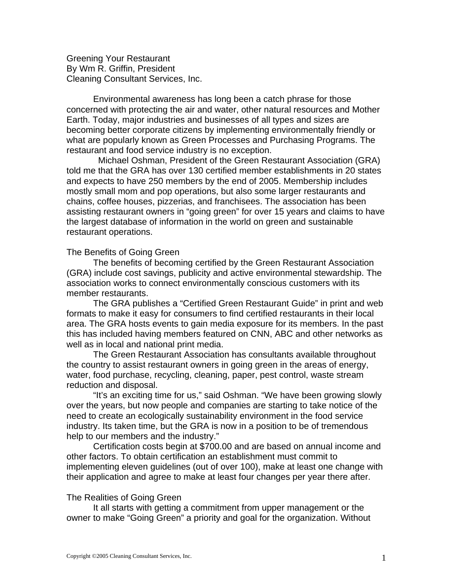Greening Your Restaurant By Wm R. Griffin, President Cleaning Consultant Services, Inc.

Environmental awareness has long been a catch phrase for those concerned with protecting the air and water, other natural resources and Mother Earth. Today, major industries and businesses of all types and sizes are becoming better corporate citizens by implementing environmentally friendly or what are popularly known as Green Processes and Purchasing Programs. The restaurant and food service industry is no exception.

 Michael Oshman, President of the Green Restaurant Association (GRA) told me that the GRA has over 130 certified member establishments in 20 states and expects to have 250 members by the end of 2005. Membership includes mostly small mom and pop operations, but also some larger restaurants and chains, coffee houses, pizzerias, and franchisees. The association has been assisting restaurant owners in "going green" for over 15 years and claims to have the largest database of information in the world on green and sustainable restaurant operations.

## The Benefits of Going Green

The benefits of becoming certified by the Green Restaurant Association (GRA) include cost savings, publicity and active environmental stewardship. The association works to connect environmentally conscious customers with its member restaurants.

The GRA publishes a "Certified Green Restaurant Guide" in print and web formats to make it easy for consumers to find certified restaurants in their local area. The GRA hosts events to gain media exposure for its members. In the past this has included having members featured on CNN, ABC and other networks as well as in local and national print media.

The Green Restaurant Association has consultants available throughout the country to assist restaurant owners in going green in the areas of energy, water, food purchase, recycling, cleaning, paper, pest control, waste stream reduction and disposal.

"It's an exciting time for us," said Oshman. "We have been growing slowly over the years, but now people and companies are starting to take notice of the need to create an ecologically sustainability environment in the food service industry. Its taken time, but the GRA is now in a position to be of tremendous help to our members and the industry."

Certification costs begin at \$700.00 and are based on annual income and other factors. To obtain certification an establishment must commit to implementing eleven guidelines (out of over 100), make at least one change with their application and agree to make at least four changes per year there after.

## The Realities of Going Green

It all starts with getting a commitment from upper management or the owner to make "Going Green" a priority and goal for the organization. Without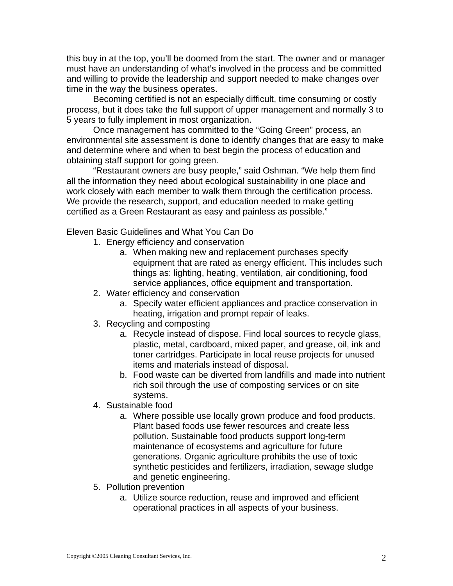this buy in at the top, you'll be doomed from the start. The owner and or manager must have an understanding of what's involved in the process and be committed and willing to provide the leadership and support needed to make changes over time in the way the business operates.

Becoming certified is not an especially difficult, time consuming or costly process, but it does take the full support of upper management and normally 3 to 5 years to fully implement in most organization.

Once management has committed to the "Going Green" process, an environmental site assessment is done to identify changes that are easy to make and determine where and when to best begin the process of education and obtaining staff support for going green.

"Restaurant owners are busy people," said Oshman. "We help them find all the information they need about ecological sustainability in one place and work closely with each member to walk them through the certification process. We provide the research, support, and education needed to make getting certified as a Green Restaurant as easy and painless as possible."

Eleven Basic Guidelines and What You Can Do

- 1. Energy efficiency and conservation
	- a. When making new and replacement purchases specify equipment that are rated as energy efficient. This includes such things as: lighting, heating, ventilation, air conditioning, food service appliances, office equipment and transportation.
- 2. Water efficiency and conservation
	- a. Specify water efficient appliances and practice conservation in heating, irrigation and prompt repair of leaks.
- 3. Recycling and composting
	- a. Recycle instead of dispose. Find local sources to recycle glass, plastic, metal, cardboard, mixed paper, and grease, oil, ink and toner cartridges. Participate in local reuse projects for unused items and materials instead of disposal.
	- b. Food waste can be diverted from landfills and made into nutrient rich soil through the use of composting services or on site systems.
- 4. Sustainable food
	- a. Where possible use locally grown produce and food products. Plant based foods use fewer resources and create less pollution. Sustainable food products support long-term maintenance of ecosystems and agriculture for future generations. Organic agriculture prohibits the use of toxic synthetic pesticides and fertilizers, irradiation, sewage sludge and genetic engineering.
- 5. Pollution prevention
	- a. Utilize source reduction, reuse and improved and efficient operational practices in all aspects of your business.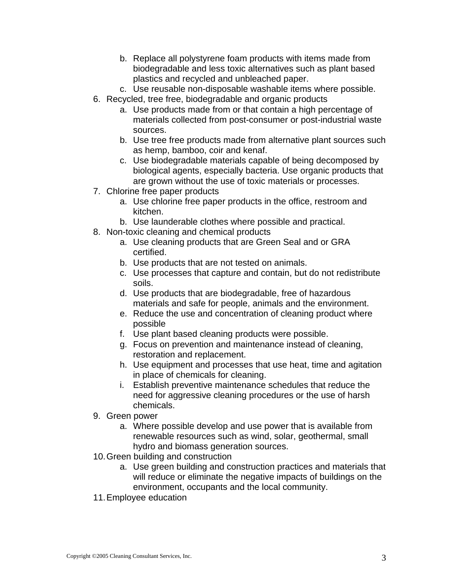- b. Replace all polystyrene foam products with items made from biodegradable and less toxic alternatives such as plant based plastics and recycled and unbleached paper.
- c. Use reusable non-disposable washable items where possible.
- 6. Recycled, tree free, biodegradable and organic products
	- a. Use products made from or that contain a high percentage of materials collected from post-consumer or post-industrial waste sources.
	- b. Use tree free products made from alternative plant sources such as hemp, bamboo, coir and kenaf.
	- c. Use biodegradable materials capable of being decomposed by biological agents, especially bacteria. Use organic products that are grown without the use of toxic materials or processes.
- 7. Chlorine free paper products
	- a. Use chlorine free paper products in the office, restroom and kitchen.
	- b. Use launderable clothes where possible and practical.
- 8. Non-toxic cleaning and chemical products
	- a. Use cleaning products that are Green Seal and or GRA certified.
	- b. Use products that are not tested on animals.
	- c. Use processes that capture and contain, but do not redistribute soils.
	- d. Use products that are biodegradable, free of hazardous materials and safe for people, animals and the environment.
	- e. Reduce the use and concentration of cleaning product where possible
	- f. Use plant based cleaning products were possible.
	- g. Focus on prevention and maintenance instead of cleaning, restoration and replacement.
	- h. Use equipment and processes that use heat, time and agitation in place of chemicals for cleaning.
	- i. Establish preventive maintenance schedules that reduce the need for aggressive cleaning procedures or the use of harsh chemicals.
- 9. Green power
	- a. Where possible develop and use power that is available from renewable resources such as wind, solar, geothermal, small hydro and biomass generation sources.
- 10. Green building and construction
	- a. Use green building and construction practices and materials that will reduce or eliminate the negative impacts of buildings on the environment, occupants and the local community.
- 11. Employee education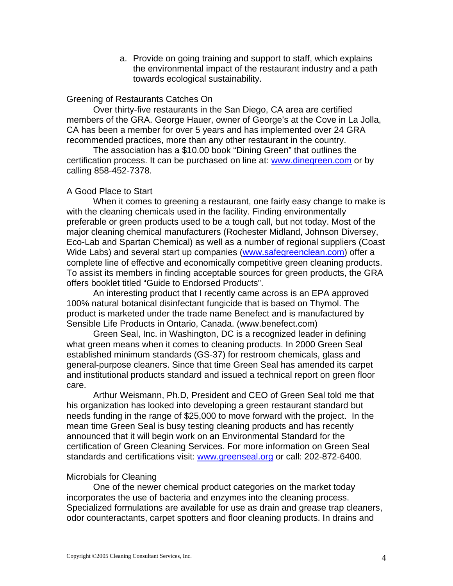a. Provide on going training and support to staff, which explains the environmental impact of the restaurant industry and a path towards ecological sustainability.

## Greening of Restaurants Catches On

Over thirty-five restaurants in the San Diego, CA area are certified members of the GRA. George Hauer, owner of George's at the Cove in La Jolla, CA has been a member for over 5 years and has implemented over 24 GRA recommended practices, more than any other restaurant in the country.

 The association has a \$10.00 book "Dining Green" that outlines the certification process. It can be purchased on line at: [www.dinegreen.com](http://www.dinegreen.com/) or by calling 858-452-7378.

# A Good Place to Start

When it comes to greening a restaurant, one fairly easy change to make is with the cleaning chemicals used in the facility. Finding environmentally preferable or green products used to be a tough call, but not today. Most of the major cleaning chemical manufacturers (Rochester Midland, Johnson Diversey, Eco-Lab and Spartan Chemical) as well as a number of regional suppliers (Coast Wide Labs) and several start up companies [\(www.safegreenclean.com](http://www.safegreenclean.com/)) offer a complete line of effective and economically competitive green cleaning products. To assist its members in finding acceptable sources for green products, the GRA offers booklet titled "Guide to Endorsed Products".

An interesting product that I recently came across is an EPA approved 100% natural botanical disinfectant fungicide that is based on Thymol. The product is marketed under the trade name Benefect and is manufactured by Sensible Life Products in Ontario, Canada. (www.benefect.com)

Green Seal, Inc. in Washington, DC is a recognized leader in defining what green means when it comes to cleaning products. In 2000 Green Seal established minimum standards (GS-37) for restroom chemicals, glass and general-purpose cleaners. Since that time Green Seal has amended its carpet and institutional products standard and issued a technical report on green floor care.

Arthur Weismann, Ph.D, President and CEO of Green Seal told me that his organization has looked into developing a green restaurant standard but needs funding in the range of \$25,000 to move forward with the project. In the mean time Green Seal is busy testing cleaning products and has recently announced that it will begin work on an Environmental Standard for the certification of Green Cleaning Services. For more information on Green Seal standards and certifications visit: [www.greenseal.org](http://www.greenseal.org/) or call: 202-872-6400.

# Microbials for Cleaning

One of the newer chemical product categories on the market today incorporates the use of bacteria and enzymes into the cleaning process. Specialized formulations are available for use as drain and grease trap cleaners, odor counteractants, carpet spotters and floor cleaning products. In drains and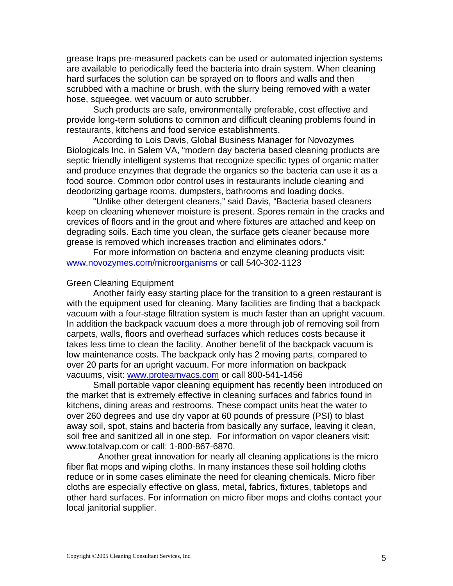grease traps pre-measured packets can be used or automated injection systems are available to periodically feed the bacteria into drain system. When cleaning hard surfaces the solution can be sprayed on to floors and walls and then scrubbed with a machine or brush, with the slurry being removed with a water hose, squeegee, wet vacuum or auto scrubber.

Such products are safe, environmentally preferable, cost effective and provide long-term solutions to common and difficult cleaning problems found in restaurants, kitchens and food service establishments.

According to Lois Davis, Global Business Manager for Novozymes Biologicals Inc. in Salem VA, "modern day bacteria based cleaning products are septic friendly intelligent systems that recognize specific types of organic matter and produce enzymes that degrade the organics so the bacteria can use it as a food source. Common odor control uses in restaurants include cleaning and deodorizing garbage rooms, dumpsters, bathrooms and loading docks.

"Unlike other detergent cleaners," said Davis, "Bacteria based cleaners keep on cleaning whenever moisture is present. Spores remain in the cracks and crevices of floors and in the grout and where fixtures are attached and keep on degrading soils. Each time you clean, the surface gets cleaner because more grease is removed which increases traction and eliminates odors."

For more information on bacteria and enzyme cleaning products visit: [www.novozymes.com/microorganisms](http://www.novozymes.com/microorganisms) or call 540-302-1123

#### Green Cleaning Equipment

Another fairly easy starting place for the transition to a green restaurant is with the equipment used for cleaning. Many facilities are finding that a backpack vacuum with a four-stage filtration system is much faster than an upright vacuum. In addition the backpack vacuum does a more through job of removing soil from carpets, walls, floors and overhead surfaces which reduces costs because it takes less time to clean the facility. Another benefit of the backpack vacuum is low maintenance costs. The backpack only has 2 moving parts, compared to over 20 parts for an upright vacuum. For more information on backpack vacuums, visit: [www.proteamvacs.com](http://www.proteamvacs.com/) or call 800-541-1456

Small portable vapor cleaning equipment has recently been introduced on the market that is extremely effective in cleaning surfaces and fabrics found in kitchens, dining areas and restrooms. These compact units heat the water to over 260 degrees and use dry vapor at 60 pounds of pressure (PSI) to blast away soil, spot, stains and bacteria from basically any surface, leaving it clean, soil free and sanitized all in one step. For information on vapor cleaners visit: www.totalvap.com or call: 1-800-867-6870.

 Another great innovation for nearly all cleaning applications is the micro fiber flat mops and wiping cloths. In many instances these soil holding cloths reduce or in some cases eliminate the need for cleaning chemicals. Micro fiber cloths are especially effective on glass, metal, fabrics, fixtures, tabletops and other hard surfaces. For information on micro fiber mops and cloths contact your local janitorial supplier.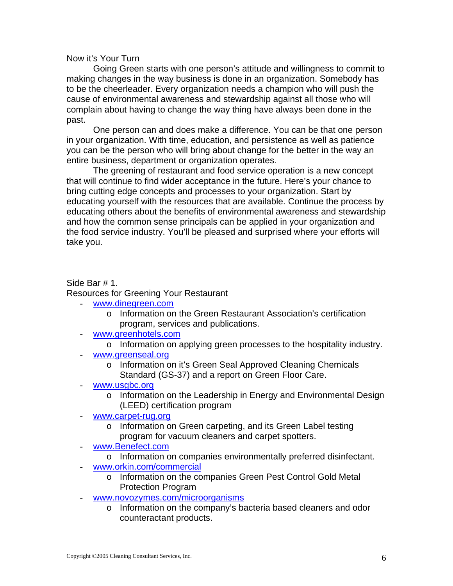Now it's Your Turn

Going Green starts with one person's attitude and willingness to commit to making changes in the way business is done in an organization. Somebody has to be the cheerleader. Every organization needs a champion who will push the cause of environmental awareness and stewardship against all those who will complain about having to change the way thing have always been done in the past.

One person can and does make a difference. You can be that one person in your organization. With time, education, and persistence as well as patience you can be the person who will bring about change for the better in the way an entire business, department or organization operates.

The greening of restaurant and food service operation is a new concept that will continue to find wider acceptance in the future. Here's your chance to bring cutting edge concepts and processes to your organization. Start by educating yourself with the resources that are available. Continue the process by educating others about the benefits of environmental awareness and stewardship and how the common sense principals can be applied in your organization and the food service industry. You'll be pleased and surprised where your efforts will take you.

# Side Bar # 1. Resources for Greening Your Restaurant

- [www.dinegreen.com](http://www.dinegreen.com/)
	- o Information on the Green Restaurant Association's certification program, services and publications.
- [www.greenhotels.com](http://www.greenhotels.com/)
	- o Information on applying green processes to the hospitality industry.
- [www.greenseal.org](http://www.greenseal.org/)
	- o Information on it's Green Seal Approved Cleaning Chemicals Standard (GS-37) and a report on Green Floor Care.
- [www.usgbc.org](http://www.usgbc.org/)
	- o Information on the Leadership in Energy and Environmental Design (LEED) certification program
- [www.carpet-rug.org](http://www.carpet-rug.org/)
	- o Information on Green carpeting, and its Green Label testing program for vacuum cleaners and carpet spotters.
- [www.Benefect.com](http://www.benefect.com/)
	- o Information on companies environmentally preferred disinfectant.
- [www.orkin.com/commercial](http://www.orkin.com/commercial)
	- o Information on the companies Green Pest Control Gold Metal Protection Program
- [www.novozymes.com/microorganisms](http://www.novozymes.com/microorganisms)
	- o Information on the company's bacteria based cleaners and odor counteractant products.